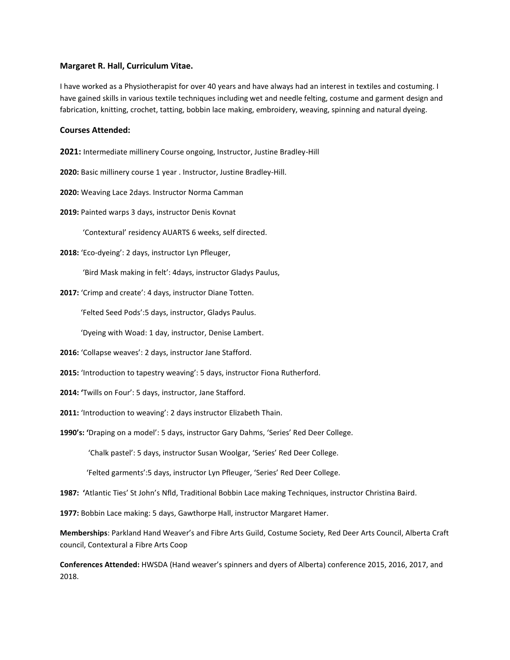## **Margaret R. Hall, Curriculum Vitae.**

I have worked as a Physiotherapist for over 40 years and have always had an interest in textiles and costuming. I have gained skills in various textile techniques including wet and needle felting, costume and garment design and fabrication, knitting, crochet, tatting, bobbin lace making, embroidery, weaving, spinning and natural dyeing.

## **Courses Attended:**

**2021:** Intermediate millinery Course ongoing, Instructor, Justine Bradley-Hill

**2020:** Basic millinery course 1 year . Instructor, Justine Bradley-Hill.

**2020:** Weaving Lace 2days. Instructor Norma Camman

**2019:** Painted warps 3 days, instructor Denis Kovnat

'Contextural' residency AUARTS 6 weeks, self directed.

**2018:** 'Eco-dyeing': 2 days, instructor Lyn Pfleuger,

'Bird Mask making in felt': 4days, instructor Gladys Paulus,

**2017:** 'Crimp and create': 4 days, instructor Diane Totten.

'Felted Seed Pods':5 days, instructor, Gladys Paulus.

'Dyeing with Woad: 1 day, instructor, Denise Lambert.

**2016:** 'Collapse weaves': 2 days, instructor Jane Stafford.

**2015:** 'Introduction to tapestry weaving': 5 days, instructor Fiona Rutherford.

**2014: '**Twills on Four': 5 days, instructor, Jane Stafford.

**2011:** 'Introduction to weaving': 2 days instructor Elizabeth Thain.

**1990's: '**Draping on a model': 5 days, instructor Gary Dahms, 'Series' Red Deer College.

'Chalk pastel': 5 days, instructor Susan Woolgar, 'Series' Red Deer College.

'Felted garments':5 days, instructor Lyn Pfleuger, 'Series' Red Deer College.

**1987: '**Atlantic Ties' St John's Nfld, Traditional Bobbin Lace making Techniques, instructor Christina Baird.

**1977:** Bobbin Lace making: 5 days, Gawthorpe Hall, instructor Margaret Hamer.

**Memberships**: Parkland Hand Weaver's and Fibre Arts Guild, Costume Society, Red Deer Arts Council, Alberta Craft council, Contextural a Fibre Arts Coop

**Conferences Attended:** HWSDA (Hand weaver's spinners and dyers of Alberta) conference 2015, 2016, 2017, and 2018.